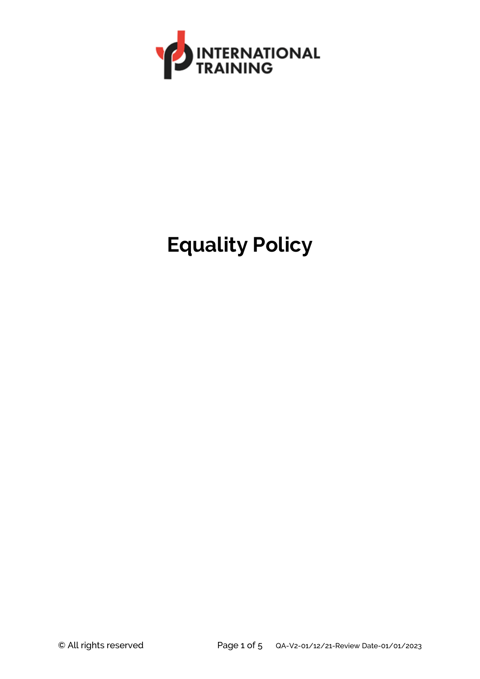

## **Equality Policy**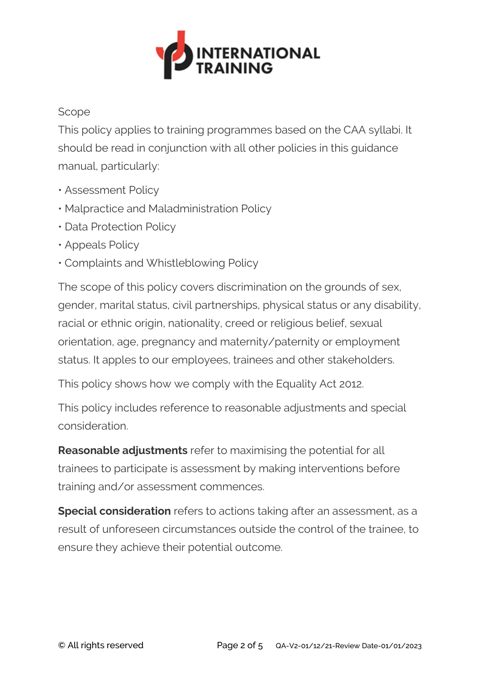

## Scope

This policy applies to training programmes based on the CAA syllabi. It should be read in conjunction with all other policies in this guidance manual, particularly:

- Assessment Policy
- Malpractice and Maladministration Policy
- Data Protection Policy
- Appeals Policy
- Complaints and Whistleblowing Policy

The scope of this policy covers discrimination on the grounds of sex, gender, marital status, civil partnerships, physical status or any disability, racial or ethnic origin, nationality, creed or religious belief, sexual orientation, age, pregnancy and maternity/paternity or employment status. It apples to our employees, trainees and other stakeholders.

This policy shows how we comply with the Equality Act 2012.

This policy includes reference to reasonable adjustments and special consideration.

**Reasonable adjustments** refer to maximising the potential for all trainees to participate is assessment by making interventions before training and/or assessment commences.

**Special consideration** refers to actions taking after an assessment, as a result of unforeseen circumstances outside the control of the trainee, to ensure they achieve their potential outcome.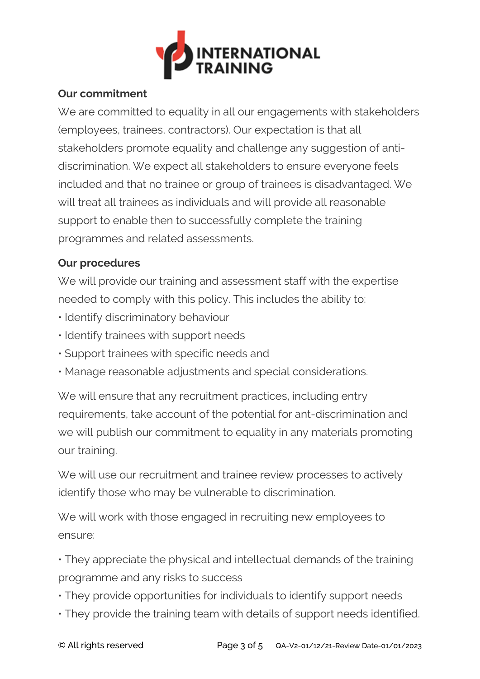

## **Our commitment**

We are committed to equality in all our engagements with stakeholders (employees, trainees, contractors). Our expectation is that all stakeholders promote equality and challenge any suggestion of antidiscrimination. We expect all stakeholders to ensure everyone feels included and that no trainee or group of trainees is disadvantaged. We will treat all trainees as individuals and will provide all reasonable support to enable then to successfully complete the training programmes and related assessments.

## **Our procedures**

We will provide our training and assessment staff with the expertise needed to comply with this policy. This includes the ability to:

- Identify discriminatory behaviour
- Identify trainees with support needs
- Support trainees with specific needs and
- Manage reasonable adjustments and special considerations.

We will ensure that any recruitment practices, including entry requirements, take account of the potential for ant-discrimination and we will publish our commitment to equality in any materials promoting our training.

We will use our recruitment and trainee review processes to actively identify those who may be vulnerable to discrimination.

We will work with those engaged in recruiting new employees to ensure:

• They appreciate the physical and intellectual demands of the training programme and any risks to success

- They provide opportunities for individuals to identify support needs
- They provide the training team with details of support needs identified.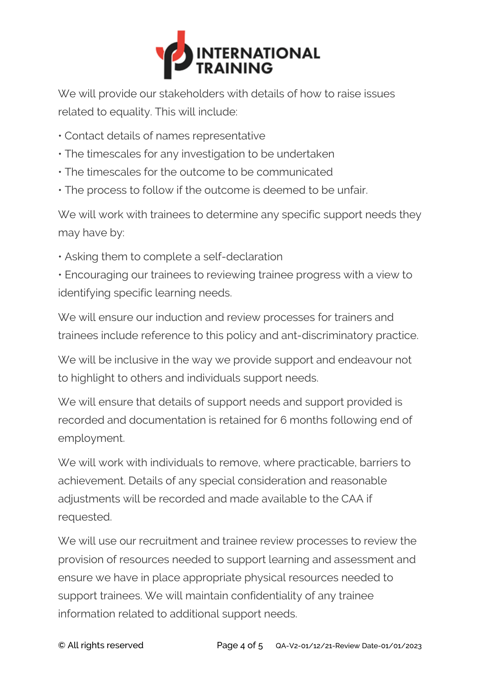

We will provide our stakeholders with details of how to raise issues related to equality. This will include:

- Contact details of names representative
- The timescales for any investigation to be undertaken
- The timescales for the outcome to be communicated
- The process to follow if the outcome is deemed to be unfair.

We will work with trainees to determine any specific support needs they may have by:

• Asking them to complete a self-declaration

• Encouraging our trainees to reviewing trainee progress with a view to identifying specific learning needs.

We will ensure our induction and review processes for trainers and trainees include reference to this policy and ant-discriminatory practice.

We will be inclusive in the way we provide support and endeavour not to highlight to others and individuals support needs.

We will ensure that details of support needs and support provided is recorded and documentation is retained for 6 months following end of employment.

We will work with individuals to remove, where practicable, barriers to achievement. Details of any special consideration and reasonable adjustments will be recorded and made available to the CAA if requested.

We will use our recruitment and trainee review processes to review the provision of resources needed to support learning and assessment and ensure we have in place appropriate physical resources needed to support trainees. We will maintain confidentiality of any trainee information related to additional support needs.